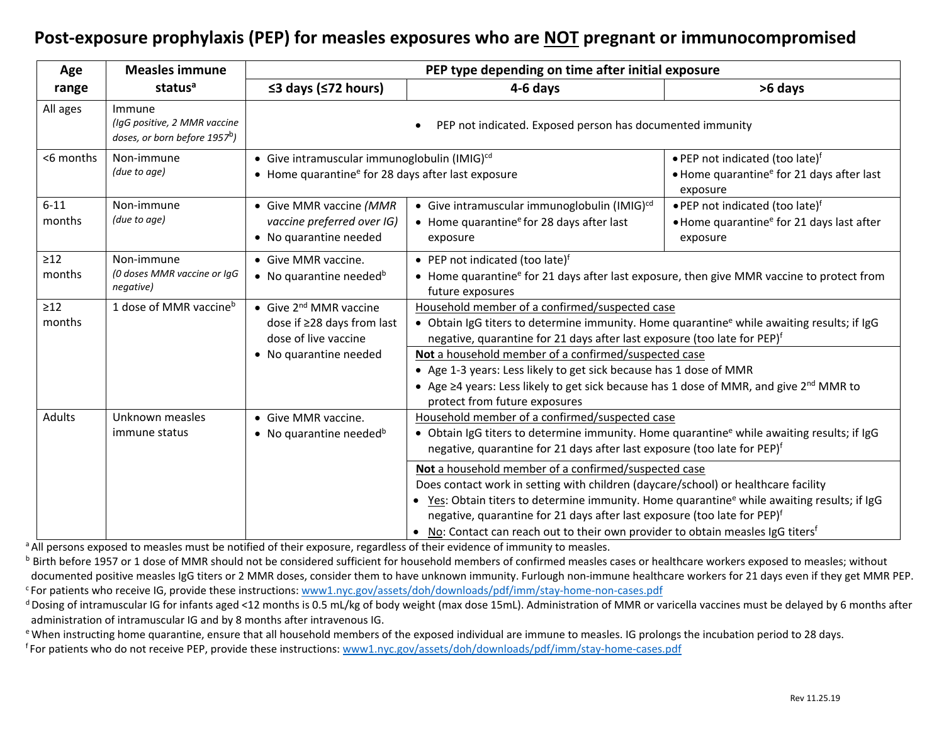## **Post-exposure prophylaxis (PEP) for measles exposures who are NOT pregnant or immunocompromised**

| Age                 | <b>Measles immune</b>                                                               | PEP type depending on time after initial exposure                                                                          |                                                                                                                                                                                                                                                                                                                                                                                                                                                                                                                                                                                                                                                                                                  |                                                                                                                  |  |  |  |  |
|---------------------|-------------------------------------------------------------------------------------|----------------------------------------------------------------------------------------------------------------------------|--------------------------------------------------------------------------------------------------------------------------------------------------------------------------------------------------------------------------------------------------------------------------------------------------------------------------------------------------------------------------------------------------------------------------------------------------------------------------------------------------------------------------------------------------------------------------------------------------------------------------------------------------------------------------------------------------|------------------------------------------------------------------------------------------------------------------|--|--|--|--|
| range               | status <sup>a</sup>                                                                 | $\leq$ 3 days ( $\leq$ 72 hours)                                                                                           | 4-6 days                                                                                                                                                                                                                                                                                                                                                                                                                                                                                                                                                                                                                                                                                         | >6 days                                                                                                          |  |  |  |  |
| All ages            | Immune<br>(IgG positive, 2 MMR vaccine<br>doses, or born before 1957 <sup>b</sup> ) | PEP not indicated. Exposed person has documented immunity                                                                  |                                                                                                                                                                                                                                                                                                                                                                                                                                                                                                                                                                                                                                                                                                  |                                                                                                                  |  |  |  |  |
| <6 months           | Non-immune<br>(due to age)                                                          | • Give intramuscular immunoglobulin (IMIG) <sup>cd</sup><br>• Home quarantine <sup>e</sup> for 28 days after last exposure |                                                                                                                                                                                                                                                                                                                                                                                                                                                                                                                                                                                                                                                                                                  | • PEP not indicated (too late) <sup>f</sup><br>• Home quarantine <sup>e</sup> for 21 days after last<br>exposure |  |  |  |  |
| $6 - 11$<br>months  | Non-immune<br>(due to age)                                                          | • Give MMR vaccine (MMR<br>vaccine preferred over IG)<br>• No quarantine needed                                            | • Give intramuscular immunoglobulin (IMIG) <sup>cd</sup><br>$\bullet$ Home quarantine <sup>e</sup> for 28 days after last<br>exposure                                                                                                                                                                                                                                                                                                                                                                                                                                                                                                                                                            | . PEP not indicated (too late)f<br>• Home quarantine <sup>e</sup> for 21 days last after<br>exposure             |  |  |  |  |
| $\geq12$<br>months  | Non-immune<br>(0 doses MMR vaccine or IgG<br>negative)                              | • Give MMR vaccine.<br>• No quarantine needed <sup>b</sup>                                                                 | • PEP not indicated (too late) <sup>f</sup><br>• Home quarantine <sup>e</sup> for 21 days after last exposure, then give MMR vaccine to protect from<br>future exposures                                                                                                                                                                                                                                                                                                                                                                                                                                                                                                                         |                                                                                                                  |  |  |  |  |
| $\geq$ 12<br>months | 1 dose of MMR vaccine <sup>b</sup>                                                  | • Give $2^{nd}$ MMR vaccine<br>dose if ≥28 days from last<br>dose of live vaccine                                          | Household member of a confirmed/suspected case<br>• Obtain IgG titers to determine immunity. Home quarantine <sup>e</sup> while awaiting results; if IgG<br>negative, quarantine for 21 days after last exposure (too late for PEP) <sup>f</sup>                                                                                                                                                                                                                                                                                                                                                                                                                                                 |                                                                                                                  |  |  |  |  |
|                     |                                                                                     | • No quarantine needed                                                                                                     | Not a household member of a confirmed/suspected case<br>• Age 1-3 years: Less likely to get sick because has 1 dose of MMR<br>• Age $\geq 4$ years: Less likely to get sick because has 1 dose of MMR, and give 2 <sup>nd</sup> MMR to<br>protect from future exposures                                                                                                                                                                                                                                                                                                                                                                                                                          |                                                                                                                  |  |  |  |  |
| Adults              | Unknown measles<br>immune status                                                    | • Give MMR vaccine.<br>• No quarantine needed <sup>b</sup>                                                                 | Household member of a confirmed/suspected case<br>• Obtain IgG titers to determine immunity. Home quarantine <sup>e</sup> while awaiting results; if IgG<br>negative, quarantine for 21 days after last exposure (too late for PEP) <sup>f</sup><br>Not a household member of a confirmed/suspected case<br>Does contact work in setting with children (daycare/school) or healthcare facility<br>• Yes: Obtain titers to determine immunity. Home quarantine <sup>e</sup> while awaiting results; if IgG<br>negative, quarantine for 21 days after last exposure (too late for PEP) <sup>f</sup><br>• No: Contact can reach out to their own provider to obtain measles IgG titers <sup>f</sup> |                                                                                                                  |  |  |  |  |
|                     |                                                                                     |                                                                                                                            |                                                                                                                                                                                                                                                                                                                                                                                                                                                                                                                                                                                                                                                                                                  |                                                                                                                  |  |  |  |  |

<sup>a</sup> All persons exposed to measles must be notified of their exposure, regardless of their evidence of immunity to measles.

**b** Birth before 1957 or 1 dose of MMR should not be considered sufficient for household members of confirmed measles cases or healthcare workers exposed to measles; without documented positive measles IgG titers or 2 MMR doses, consider them to have unknown immunity. Furlough non-immune healthcare workers for 21 days even if they get MMR PEP. <sup>c</sup> For patients who receive IG, provide these instructions: [www1.nyc.gov/assets/doh/downloads/pdf/imm/stay-home-non-cases.pdf](https://www1.nyc.gov/assets/doh/downloads/pdf/imm/stay-home-non-cases.pdf)

<sup>d</sup> Dosing of intramuscular IG for infants aged <12 months is 0.5 mL/kg of body weight (max dose 15mL). Administration of MMR or varicella vaccines must be delayed by 6 months after administration of intramuscular IG and by 8 months after intravenous IG.

e When instructing home quarantine, ensure that all household members of the exposed individual are immune to measles. IG prolongs the incubation period to 28 days.

<sup>f</sup> For patients who do not receive PEP, provide these instructions: <u>www1.nyc.gov/assets/doh/downloads/pdf/imm/stay-home-cases.pdf</u>